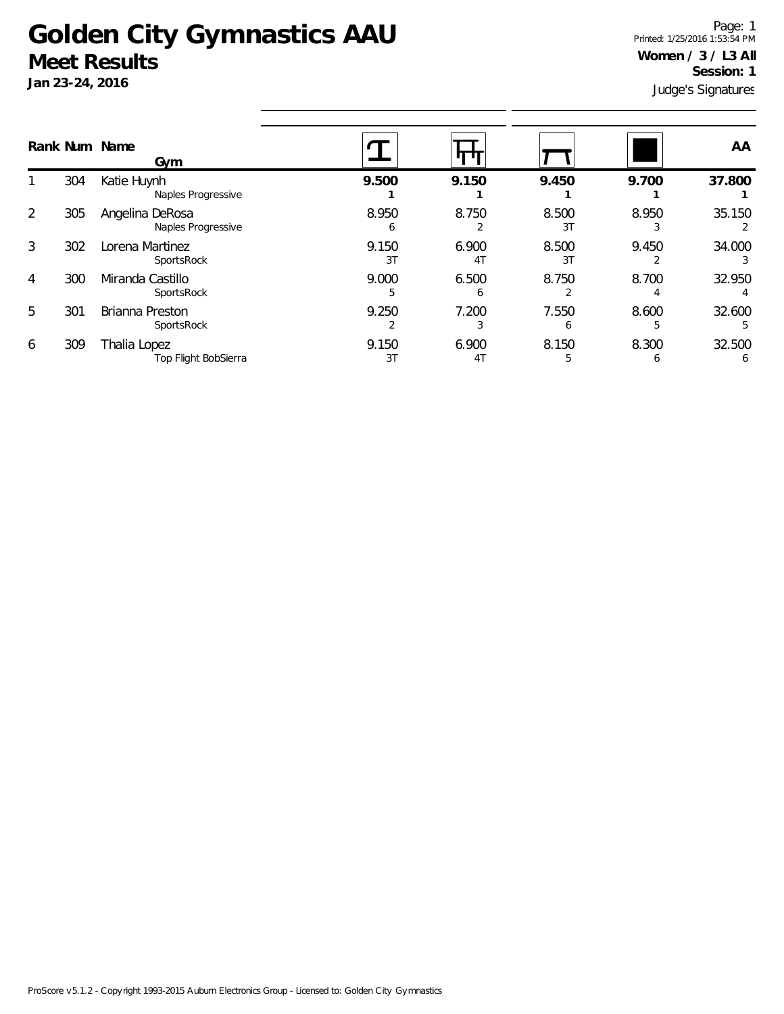## **Golden City Gymnastics AAU Meet Results**

**Jan 23-24, 2016**

Judge's Signatures Page: 1 Printed: 1/25/2016 1:53:54 PM **Women / 3 / L3 All Session: 1**

|   |     | Rank Num Name<br>Gym                  |             |                         |             |            | AA          |
|---|-----|---------------------------------------|-------------|-------------------------|-------------|------------|-------------|
|   | 304 | Katie Huynh<br>Naples Progressive     | 9.500       | 9.150                   | 9.450       | 9.700      | 37.800      |
| 2 | 305 | Angelina DeRosa<br>Naples Progressive | 8.950<br>6  | 8.750                   | 8.500<br>3T | 8.950      | 35.150      |
| 3 | 302 | Lorena Martinez<br>SportsRock         | 9.150<br>3T | 6.900<br>4 <sub>T</sub> | 8.500<br>3T | 9.450      | 34.000      |
| 4 | 300 | Miranda Castillo<br>SportsRock        | 9.000<br>5  | 6.500<br>b              | 8.750       | 8.700      | 32.950      |
| 5 | 301 | Brianna Preston<br>SportsRock         | 9.250       | 7.200<br>3              | 7.550<br>b  | 8.600<br>5 | 32.600      |
| 6 | 309 | Thalia Lopez<br>Top Flight BobSierra  | 9.150<br>3T | 6.900<br>4 <sub>1</sub> | 8.150       | 8.300<br>6 | 32.500<br>6 |